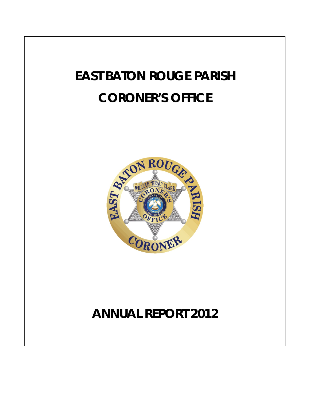# **EAST BATON ROUGE PARISH CORONER'S OFFICE**



## **ANNUAL REPORT 2012**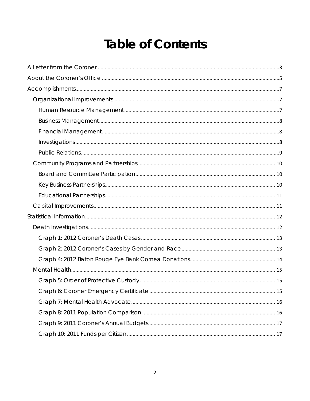## **Table of Contents**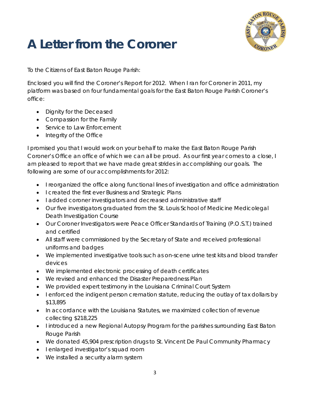

## <span id="page-2-0"></span>**A Letter from the Coroner**

To the Citizens of East Baton Rouge Parish:

Enclosed you will find the Coroner's Report for 2012. When I ran for Coroner in 2011, my platform was based on four fundamental goals for the East Baton Rouge Parish Coroner's office:

- Dignity for the Deceased
- Compassion for the Family
- Service to Law Enforcement
- Integrity of the Office

I promised you that I would work on your behalf to make the East Baton Rouge Parish Coroner's Office an office of which we can all be proud. As our first year comes to a close, I am pleased to report that we have made great strides in accomplishing our goals. The following are some of our accomplishments for 2012:

- I reorganized the office along functional lines of investigation and office administration
- I created the first ever Business and Strategic Plans
- I added coroner investigators and decreased administrative staff
- Our five investigators graduated from the St. Louis School of Medicine Medicolegal Death Investigation Course
- Our Coroner Investigators were Peace Officer Standards of Training (P.O.S.T.) trained and certified
- All staff were commissioned by the Secretary of State and received professional uniforms and badges
- We implemented investigative tools such as on-scene urine test kits and blood transfer devices
- We implemented electronic processing of death certificates
- We revised and enhanced the Disaster Preparedness Plan
- We provided expert testimony in the Louisiana Criminal Court System
- I enforced the indigent person cremation statute, reducing the outlay of tax dollars by \$13,895
- In accordance with the Louisiana Statutes, we maximized collection of revenue collecting \$218,225
- I introduced a new Regional Autopsy Program for the parishes surrounding East Baton Rouge Parish
- We donated 45,904 prescription drugs to St. Vincent De Paul Community Pharmacy
- I enlarged investigator's squad room
- We installed a security alarm system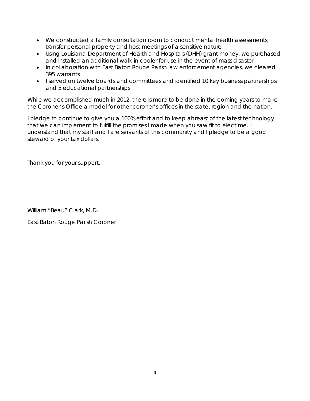- We constructed a family consultation room to conduct mental health assessments, transfer personal property and host meetings of a sensitive nature
- Using Louisiana Department of Health and Hospitals (DHH) grant money, we purchased and installed an additional walk-in cooler for use in the event of mass disaster
- In collaboration with East Baton Rouge Parish law enforcement agencies, we cleared 395 warrants
- I served on twelve boards and committees and identified 10 key business partnerships and 5 educational partnerships

While we accomplished much in 2012, there is more to be done in the coming years to make the Coroner's Office a model for other coroner's offices in the state, region and the nation.

I pledge to continue to give you a 100% effort and to keep abreast of the latest technology that we can implement to fulfill the promises I made when you saw fit to elect me. I understand that my staff and I are servants of this community and I pledge to be a good steward of your tax dollars.

Thank you for your support,

William "Beau" Clark, M.D.

East Baton Rouge Parish Coroner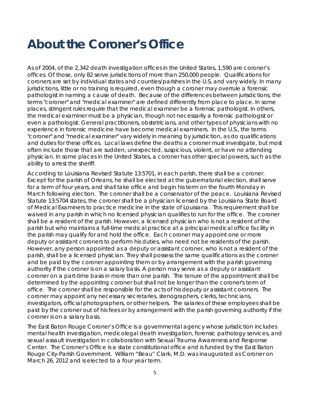### <span id="page-4-0"></span>**About the Coroner's Office**

As of 2004, of the 2,342 death investigation offices in the United States, 1,590 are coroner's offices. Of those, only 82 serve jurisdictions of more than 250,000 people. Qualifications for coroners are set by individual states and counties/parishes in the U.S. and vary widely. In many jurisdictions, little or no training is required, even though a coroner may overrule a forensic pathologist in naming a cause of death. Because of the differences between jurisdictions, the terms "coroner" and "medical examiner" are defined differently from place to place. In some places, stringent rules require that the medical examiner be a forensic pathologist. In others, the medical examiner must be a physician, though not necessarily a forensic pathologist or even a pathologist. General practitioners, obstetricians, and other types of physicians with no experience in forensic medicine have become medical examiners. In the U.S., the terms "coroner" and "medical examiner" vary widely in meaning by jurisdiction, as do qualifications and duties for these offices. Local laws define the deaths a coroner must investigate, but most often include those that are sudden, unexpected, suspicious, violent, or have no attending physician. In some places in the United States, a coroner has other special powers, such as the ability to arrest the sheriff.

According to Louisiana Revised Statute 13:5701, in each parish, there shall be a coroner. Except for the parish of Orleans, he shall be elected at the gubernatorial election, shall serve for a term of four years, and shall take office and begin his term on the fourth Monday in March following election. The coroner shall be a conservator of the peace. Louisiana Revised Statute 13:5704 states, the coroner shall be a physician licensed by the Louisiana State Board of Medical Examiners to practice medicine in the state of Louisiana. This requirement shall be waived in any parish in which no licensed physician qualifies to run for the office. The coroner shall be a resident of the parish. However, a licensed physician who is not a resident of the parish but who maintains a full-time medical practice at a principal medical office facility in the parish may qualify for and hold the office. Each coroner may appoint one or more deputy or assistant coroners to perform his duties, who need not be residents of the parish. However, any person appointed as a deputy or assistant coroner, who is not a resident of the parish, shall be a licensed physician. They shall possess the same qualifications as the coroner and be paid by the coroner appointing them or by arrangement with the parish governing authority if the coroner is on a salary basis. A person may serve as a deputy or assistant coroner on a part-time basis in more than one parish. The tenure of the appointment shall be determined by the appointing coroner but shall not be longer than the coroner's term of office. The coroner shall be responsible for the acts of his deputy or assistant coroners. The coroner may appoint any necessary secretaries, stenographers, clerks, technicians, investigators, official photographers, or other helpers. The salaries of these employees shall be paid by the coroner out of his fees or by arrangement with the parish governing authority if the coroner is on a salary basis.

The East Baton Rouge Coroner's Office is a governmental agency whose jurisdiction includes mental health investigation, medicolegal death investigation, forensic pathology services, and sexual assault investigation in collaboration with Sexual Trauma Awareness and Response Center. The Coroner's Office is a state constitutional office and is funded by the East Baton Rouge City-Parish Government. William "Beau" Clark, M.D. was inaugurated as Coroner on March 26, 2012 and is elected to a four year term.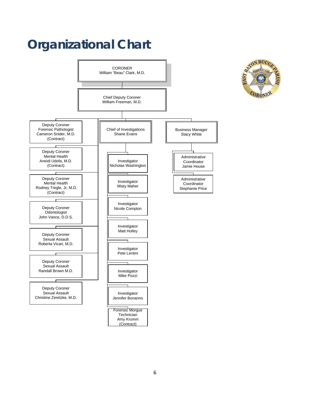## **Organizational Chart**



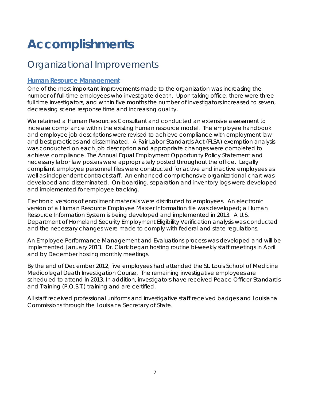## <span id="page-6-0"></span>**Accomplishments**

### <span id="page-6-1"></span>Organizational Improvements

#### <span id="page-6-2"></span>**Human Resource Management**

One of the most important improvements made to the organization was increasing the number of full-time employees who investigate death. Upon taking office, there were three full time investigators, and within five months the number of investigators increased to seven, decreasing scene response time and increasing quality.

We retained a Human Resources Consultant and conducted an extensive assessment to increase compliance within the existing human resource model. The employee handbook and employee job descriptions were revised to achieve compliance with employment law and best practices and disseminated. A Fair Labor Standards Act (FLSA) exemption analysis was conducted on each job description and appropriate changes were completed to achieve compliance. The Annual Equal Employment Opportunity Policy Statement and necessary labor law posters were appropriately posted throughout the office. Legally compliant employee personnel files were constructed for active and inactive employees as well as independent contract staff. An enhanced comprehensive organizational chart was developed and disseminated. On-boarding, separation and inventory logs were developed and implemented for employee tracking.

Electronic versions of enrollment materials were distributed to employees. An electronic version of a Human Resource Employee Master Information file was developed; a Human Resource Information System is being developed and implemented in 2013. A U.S. Department of Homeland Security Employment Eligibility Verification analysis was conducted and the necessary changes were made to comply with federal and state regulations.

An Employee Performance Management and Evaluations process was developed and will be implemented January 2013. Dr. Clark began hosting routine bi-weekly staff meetings in April and by December hosting monthly meetings.

By the end of December 2012, five employees had attended the St. Louis School of Medicine Medicolegal Death Investigation Course. The remaining investigative employees are scheduled to attend in 2013. In addition, investigators have received Peace Officer Standards and Training (P.O.S.T.) training and are certified.

All staff received professional uniforms and investigative staff received badges and Louisiana Commissions through the Louisiana Secretary of State.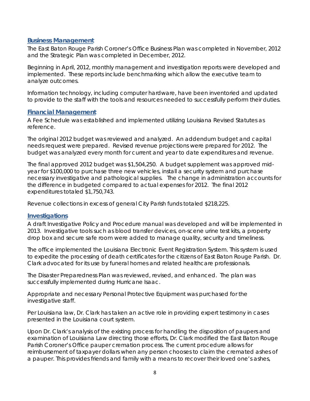#### <span id="page-7-0"></span>**Business Management**

The East Baton Rouge Parish Coroner's Office Business Plan was completed in November, 2012 and the Strategic Plan was completed in December, 2012.

Beginning in April, 2012, monthly management and investigation reports were developed and implemented. These reports include benchmarking which allow the executive team to analyze outcomes.

Information technology, including computer hardware, have been inventoried and updated to provide to the staff with the tools and resources needed to successfully perform their duties.

#### <span id="page-7-1"></span>**Financial Management**

A Fee Schedule was established and implemented utilizing Louisiana Revised Statutes as reference.

The original 2012 budget was reviewed and analyzed. An addendum budget and capital needs request were prepared. Revised revenue projections were prepared for 2012. The budget was analyzed every month for current and year to date expenditures and revenue.

The final approved 2012 budget was \$1,504,250. A budget supplement was approved midyear for \$100,000 to purchase three new vehicles, install a security system and purchase necessary investigative and pathological supplies. The change in administration accounts for the difference in budgeted compared to actual expenses for 2012. The final 2012 expenditures totaled \$1,750,743.

Revenue collections in excess of general City Parish funds totaled \$218,225.

#### <span id="page-7-2"></span>**Investigations**

A draft Investigative Policy and Procedure manual was developed and will be implemented in 2013. Investigative tools such as blood transfer devices, on-scene urine test kits, a property drop box and secure safe room were added to manage quality, security and timeliness.

The office implemented the Louisiana Electronic Event Registration System. This system is used to expedite the processing of death certificates for the citizens of East Baton Rouge Parish. Dr. Clark advocated for its use by funeral homes and related healthcare professionals.

The Disaster Preparedness Plan was reviewed, revised, and enhanced. The plan was successfully implemented during Hurricane Isaac.

Appropriate and necessary Personal Protective Equipment was purchased for the investigative staff.

Per Louisiana law, Dr. Clark has taken an active role in providing expert testimony in cases presented in the Louisiana court system.

Upon Dr. Clark's analysis of the existing process for handling the disposition of paupers and examination of Louisiana Law directing those efforts, Dr. Clark modified the East Baton Rouge Parish Coroner's Office pauper cremation process. The current procedure allows for reimbursement of taxpayer dollars when any person chooses to claim the cremated ashes of a pauper. This provides friends and family with a means to recover their loved one's ashes,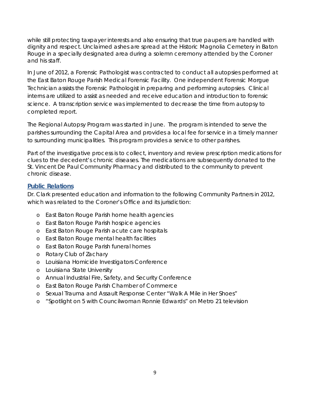while still protecting taxpayer interests and also ensuring that true paupers are handled with dignity and respect. Unclaimed ashes are spread at the Historic Magnolia Cemetery in Baton Rouge in a specially designated area during a solemn ceremony attended by the Coroner and his staff.

In June of 2012, a Forensic Pathologist was contracted to conduct all autopsies performed at the East Baton Rouge Parish Medical Forensic Facility. One independent Forensic Morgue Technician assists the Forensic Pathologist in preparing and performing autopsies. Clinical interns are utilized to assist as needed and receive education and introduction to forensic science. A transcription service was implemented to decrease the time from autopsy to completed report.

The Regional Autopsy Program was started in June. The program is intended to serve the parishes surrounding the Capital Area and provides a local fee for service in a timely manner to surrounding municipalities. This program provides a service to other parishes.

Part of the investigative process is to collect, inventory and review prescription medications for clues to the decedent's chronic diseases. The medications are subsequently donated to the St. Vincent De Paul Community Pharmacy and distributed to the community to prevent chronic disease.

#### <span id="page-8-0"></span>**Public Relations**

Dr. Clark presented education and information to the following Community Partners in 2012, which was related to the Coroner's Office and its jurisdiction:

- o East Baton Rouge Parish home health agencies
- o East Baton Rouge Parish hospice agencies
- o East Baton Rouge Parish acute care hospitals
- o East Baton Rouge mental health facilities
- o East Baton Rouge Parish funeral homes
- o Rotary Club of Zachary
- o Louisiana Homicide Investigators Conference
- o Louisiana State University
- o Annual Industrial Fire, Safety, and Security Conference
- o East Baton Rouge Parish Chamber of Commerce
- o Sexual Trauma and Assault Response Center "Walk A Mile in Her Shoes"
- o "Spotlight on 5 with Councilwoman Ronnie Edwards" on Metro 21 television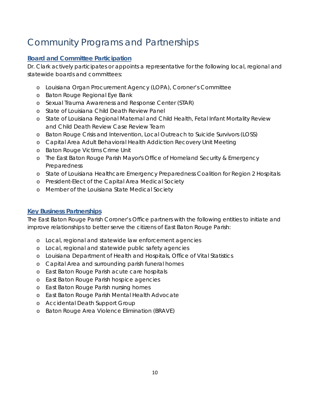### <span id="page-9-0"></span>Community Programs and Partnerships

#### <span id="page-9-1"></span>**Board and Committee Participation**

Dr. Clark actively participates or appoints a representative for the following local, regional and statewide boards and committees:

- o Louisiana Organ Procurement Agency (LOPA), Coroner's Committee
- o Baton Rouge Regional Eye Bank
- o Sexual Trauma Awareness and Response Center (STAR)
- o State of Louisiana Child Death Review Panel
- o State of Louisiana Regional Maternal and Child Health, Fetal Infant Mortality Review and Child Death Review Case Review Team
- o Baton Rouge Crisis and Intervention, Local Outreach to Suicide Survivors (LOSS)
- o Capital Area Adult Behavioral Health Addiction Recovery Unit Meeting
- o Baton Rouge Victims Crime Unit
- o The East Baton Rouge Parish Mayor's Office of Homeland Security & Emergency Preparedness
- o State of Louisiana Healthcare Emergency Preparedness Coalition for Region 2 Hospitals
- o President-Elect of the Capital Area Medical Society
- o Member of the Louisiana State Medical Society

#### <span id="page-9-2"></span>**Key Business Partnerships**

The East Baton Rouge Parish Coroner's Office partners with the following entities to initiate and improve relationships to better serve the citizens of East Baton Rouge Parish:

- o Local, regional and statewide law enforcement agencies
- o Local, regional and statewide public safety agencies
- o Louisiana Department of Health and Hospitals, Office of Vital Statistics
- o Capital Area and surrounding parish funeral homes
- o East Baton Rouge Parish acute care hospitals
- o East Baton Rouge Parish hospice agencies
- o East Baton Rouge Parish nursing homes
- o East Baton Rouge Parish Mental Health Advocate
- o Accidental Death Support Group
- o Baton Rouge Area Violence Elimination (BRAVE)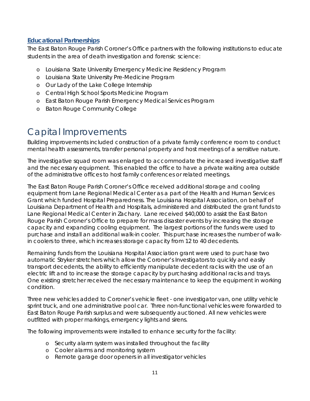#### <span id="page-10-0"></span>**Educational Partnerships**

The East Baton Rouge Parish Coroner's Office partners with the following institutions to educate students in the area of death investigation and forensic science:

- o Louisiana State University Emergency Medicine Residency Program
- o Louisiana State University Pre-Medicine Program
- o Our Lady of the Lake College Internship
- o Central High School Sports Medicine Program
- o East Baton Rouge Parish Emergency Medical Services Program
- o Baton Rouge Community College

### <span id="page-10-1"></span>Capital Improvements

Building improvements included construction of a private family conference room to conduct mental health assessments, transfer personal property and host meetings of a sensitive nature.

The investigative squad room was enlarged to accommodate the increased investigative staff and the necessary equipment. This enabled the office to have a private waiting area outside of the administrative offices to host family conferences or related meetings.

The East Baton Rouge Parish Coroner's Office received additional storage and cooling equipment from Lane Regional Medical Center as a part of the Health and Human Services Grant which funded Hospital Preparedness. The Louisiana Hospital Association, on behalf of Louisiana Department of Health and Hospitals, administered and distributed the grant funds to Lane Regional Medical Center in Zachary. Lane received \$40,000 to assist the East Baton Rouge Parish Coroner's Office to prepare for mass disaster events by increasing the storage capacity and expanding cooling equipment. The largest portions of the funds were used to purchase and install an additional walk-in cooler. This purchase increases the number of walkin coolers to three, which increases storage capacity from 12 to 40 decedents.

Remaining funds from the Louisiana Hospital Association grant were used to purchase two automatic Stryker stretchers which allow the Coroner's Investigators to quickly and easily transport decedents, the ability to efficiently manipulate decedent racks with the use of an electric lift and to increase the storage capacity by purchasing additional racks and trays. One existing stretcher received the necessary maintenance to keep the equipment in working condition.

Three new vehicles added to Coroner's vehicle fleet - one investigator van, one utility vehicle sprint truck, and one administrative pool car. Three non-functional vehicles were forwarded to East Baton Rouge Parish surplus and were subsequently auctioned. All new vehicles were outfitted with proper markings, emergency lights and sirens.

The following improvements were installed to enhance security for the facility:

- o Security alarm system was installed throughout the facility
- o Cooler alarms and monitoring system
- o Remote garage door openers in all investigator vehicles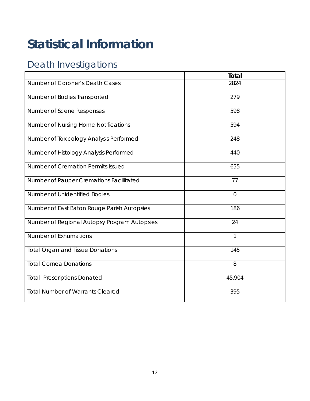## <span id="page-11-0"></span>**Statistical Information**

### <span id="page-11-1"></span>Death Investigations

|                                              | <b>Total</b>   |
|----------------------------------------------|----------------|
| Number of Coroner's Death Cases              | 2824           |
| Number of Bodies Transported                 | 279            |
| Number of Scene Responses                    | 598            |
| Number of Nursing Home Notifications         | 594            |
| Number of Toxicology Analysis Performed      | 248            |
| Number of Histology Analysis Performed       | 440            |
| Number of Cremation Permits Issued           | 655            |
| Number of Pauper Cremations Facilitated      | 77             |
| Number of Unidentified Bodies                | $\overline{0}$ |
| Number of East Baton Rouge Parish Autopsies  | 186            |
| Number of Regional Autopsy Program Autopsies | 24             |
| Number of Exhumations                        | $\mathbf{1}$   |
| <b>Total Organ and Tissue Donations</b>      | 145            |
| <b>Total Cornea Donations</b>                | 8              |
| <b>Total Prescriptions Donated</b>           | 45,904         |
| <b>Total Number of Warrants Cleared</b>      | 395            |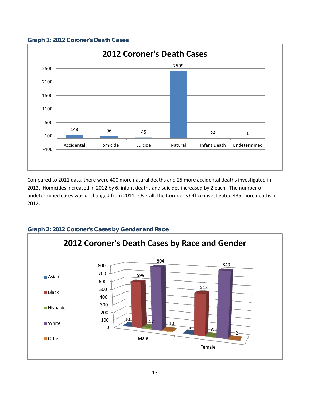<span id="page-12-0"></span>



Compared to 2011 data, there were 400 more natural deaths and 25 more accidental deaths investigated in 2012. Homicides increased in 2012 by 6, infant deaths and suicides increased by 2 each. The number of undetermined cases was unchanged from 2011. Overall, the Coroner's Office investigated 435 more deaths in 2012.



#### <span id="page-12-1"></span>**Graph 2: 2012 Coroner's Cases by Gender and Race**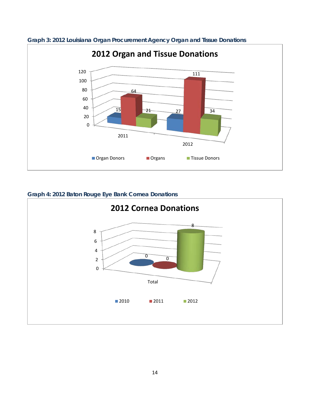

**Graph 3: 2012 Louisiana Organ Procurement Agency Organ and Tissue Donations**

#### <span id="page-13-0"></span>**Graph 4: 2012 Baton Rouge Eye Bank Cornea Donations**

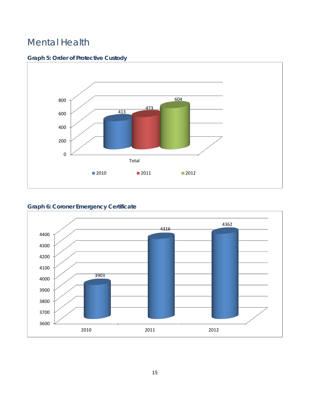### <span id="page-14-0"></span>Mental Health

#### <span id="page-14-1"></span>**Graph 5: Order of Protective Custody**



#### <span id="page-14-2"></span>**Graph 6: Coroner Emergency Certificate**

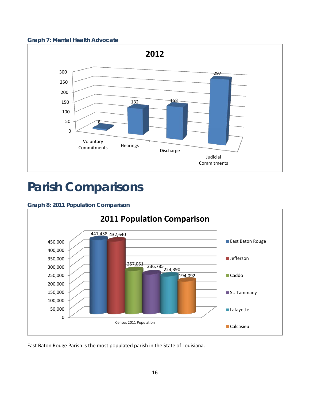<span id="page-15-0"></span>



### **Parish Comparisons**

#### <span id="page-15-1"></span>**Graph 8: 2011 Population Comparison**



East Baton Rouge Parish is the most populated parish in the State of Louisiana.